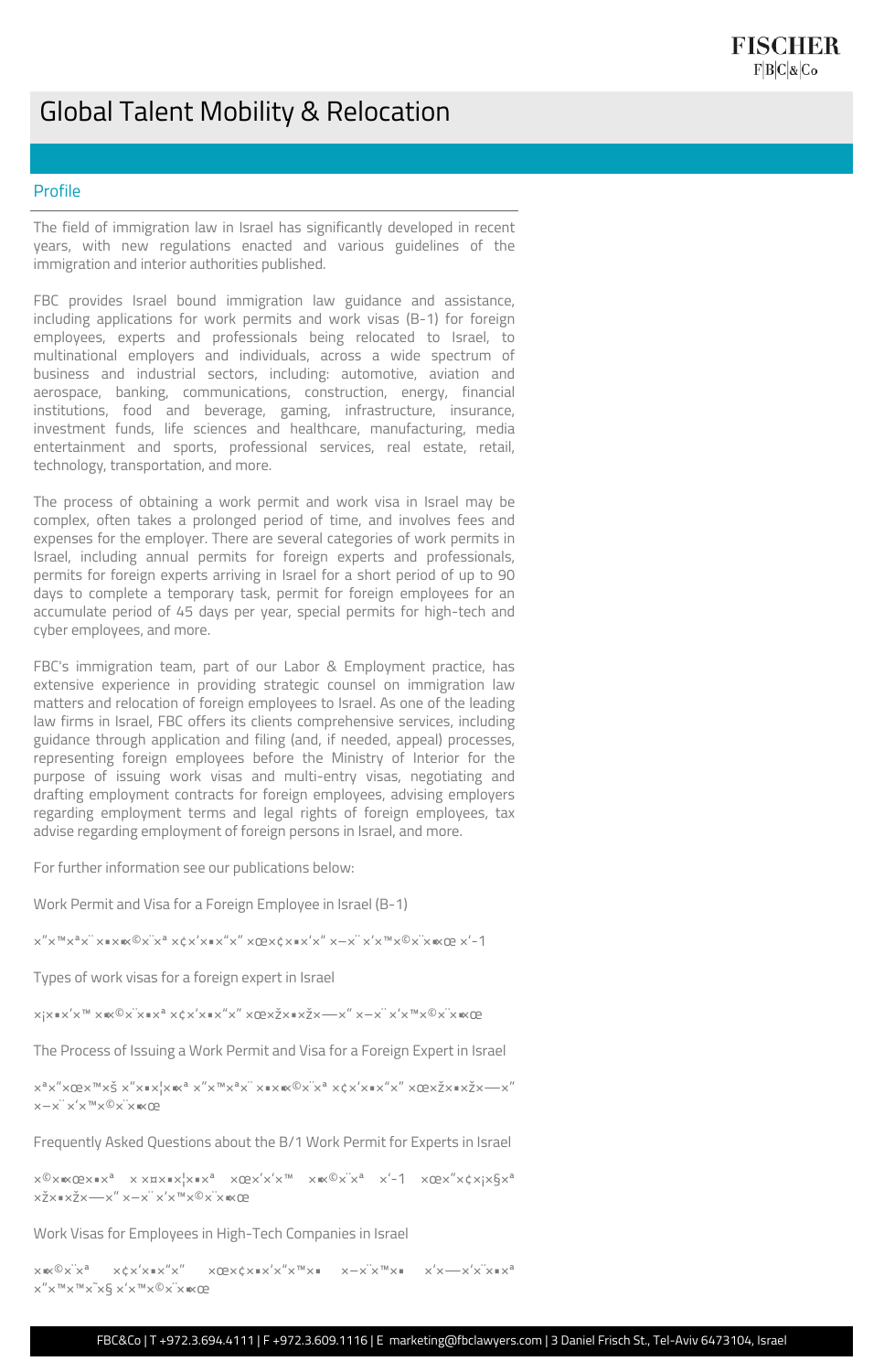## Global Talent Mobility & Relocation

## Profile

The field of immigration law in Israel has significantly developed in recent years, with new regulations enacted and various guidelines of the immigration and interior authorities published.

FBC provides Israel bound immigration law guidance and assistance, including applications for work permits and work visas (B-1) for foreign employees, experts and professionals being relocated to Israel, to multinational employers and individuals, across a wide spectrum of business and industrial sectors, including: automotive, aviation and aerospace, banking, communications, construction, energy, financial institutions, food and beverage, gaming, infrastructure, insurance, investment funds, life sciences and healthcare, manufacturing, media entertainment and sports, professional services, real estate, retail, technology, transportation, and more.

The process of obtaining a work permit and work visa in Israel may be complex, often takes a prolonged period of time, and involves fees and expenses for the employer. There are several categories of work permits in Israel, including annual permits for foreign experts and professionals, permits for foreign experts arriving in Israel for a short period of up to 90 days to complete a temporary task, permit for foreign employees for an accumulate period of 45 days per year, special permits for high-tech and cyber employees, and more.

```
x^0x \in \mathbb{R} x^1 x^2 x^2 x^3 x^4 x^2 \in \mathbb{R} x^4 x^5 x^6 x^7x^8 x^4 x^2 x^2 x^3 x^4 x^5x^6x^7x^6x^7x^8x^8מומחה זר בישרול
```
FBC's immigration team, part of our Labor & Employment practice, has extensive experience in providing strategic counsel on immigration law matters and relocation of foreign employees to Israel. As one of the leading law firms in Israel, FBC offers its clients comprehensive services, including guidance through application and filing (and, if needed, appeal) processes, representing foreign employees before the Ministry of Interior for the purpose of issuing work visas and multi-entry visas, negotiating and drafting employment contracts for foreign employees, advising employers regarding employment terms and legal rights of foreign employees, tax advise regarding employment of foreign persons in Israel, and more.

For further information see our publications below:

Work Permit and Visa for a Foreign Employee in Israel (B-1)

Types of work visas for a foreign expert in Israel

```
x_1 \times x_2 \times x_3 \times x_4 \times x_5 \times x_6 and x_1 \times x_2 \times x_3 \times x_4 \times x_5 and x_2 \times x_5 \times x_6 and x_1 \times x_2 \times x_5 \times x_6
```
The Process of Issuing a Work Permit and Visa for a Foreign Expert in Israel

```
x^a x'' x \mathbb{Q} x^m x \leq x'' x \cdot x! x \cdot x^a x'' x^m x^a x' x \cdot x \cdot x^a x^c x' x' x x x'' x'' x \mathbb{Q} x \geq x x x x x' x''x-x' \times x'' \times \mathbb{R}
```
Frequently Asked Questions about the B/1 Work Permit for Experts in Israel

Work Visas for Employees in High-Tech Companies in Israel

 $\times \mathbb{R}^\mathbb{Q} \times \mathbb{R}^\mathbb{N} \times \mathbb{R}^\mathbb{N} \times \mathbb{R}^\mathbb{N} \times \mathbb{R}^\mathbb{N} \times \mathbb{R}^\mathbb{N} \times \mathbb{R}^\mathbb{N} \times \mathbb{R}^\mathbb{N} \times \mathbb{R}^\mathbb{N} \times \mathbb{R}^\mathbb{N} \times \mathbb{R}^\mathbb{N} \times \mathbb{R}^\mathbb{N} \times \mathbb{R}^\mathbb{N} \times \mathbb{R}^\mathbb{N} \times \mathbb{R}^\mathbb{N} \times \mathbb{R}^\math$  $\times''\times''' \times''' \times \tilde{} \times \times \times''' \times @>\times''\times \mathbb{R} \times \mathbb{C} \times \mathbb{C}$ 

FBC&Co | T +972.3.694.4111 | F +972.3.609.1116 | E marketing@fbclawyers.com | 3 Daniel Frisch St., Tel-Aviv 6473104, Israel